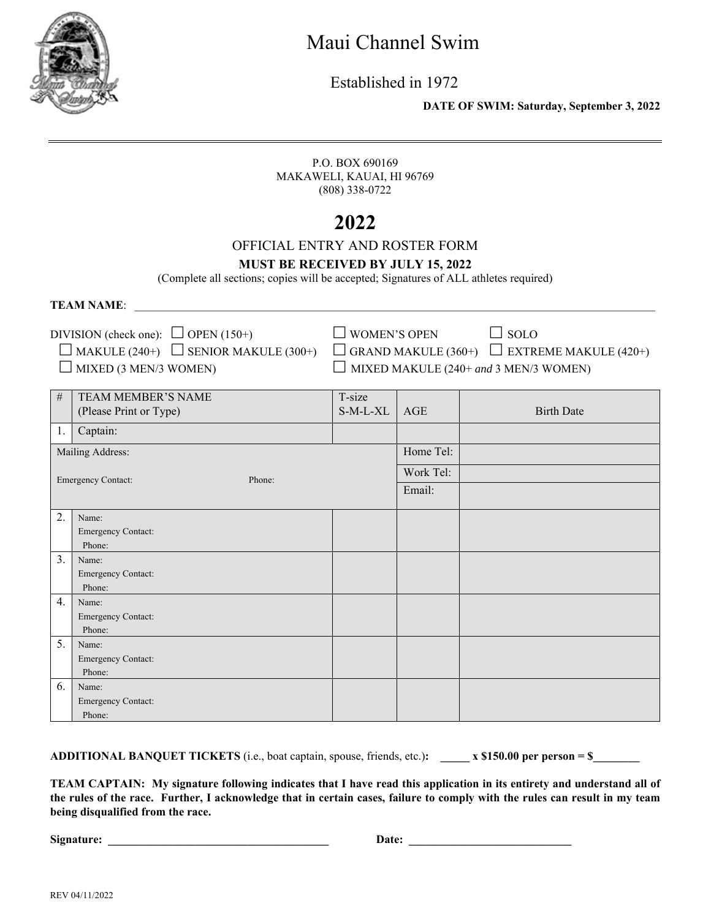

Established in 1972

 **DATE OF SWIM: Saturday, September 3, 2022**

P.O. BOX 690169 MAKAWELI, KAUAI, HI 96769 (808) 338-0722

# **2022**

### OFFICIAL ENTRY AND ROSTER FORM

#### **MUST BE RECEIVED BY JULY 15, 2022**

(Complete all sections; copies will be accepted; Signatures of ALL athletes required)

#### **TEAM NAME:**

DIVISION (check one):  $\Box$  OPEN (150+)  $\Box$  WOMEN'S OPEN  $\Box$  SOLO

 $\Box$  MAKULE (240+)  $\Box$  SENIOR MAKULE (300+)  $\Box$  GRAND MAKULE (360+)  $\Box$  EXTREME MAKULE (420+)  $\Box$  MIXED (3 MEN/3 WOMEN)  $\Box$  MIX

| KED MAKULE (240+ and 3 MEN/3 WOMEN) |  |  |
|-------------------------------------|--|--|
|                                     |  |  |

| $\#$                                | TEAM MEMBER'S NAME        | T-size   |           |                   |
|-------------------------------------|---------------------------|----------|-----------|-------------------|
|                                     | (Please Print or Type)    | S-M-L-XL | AGE       | <b>Birth Date</b> |
| 1.                                  | Captain:                  |          |           |                   |
|                                     | Mailing Address:          |          | Home Tel: |                   |
| <b>Emergency Contact:</b><br>Phone: |                           |          | Work Tel: |                   |
|                                     |                           |          | Email:    |                   |
| 2.                                  | Name:                     |          |           |                   |
|                                     | Emergency Contact:        |          |           |                   |
|                                     | Phone:                    |          |           |                   |
| 3.                                  | Name:                     |          |           |                   |
|                                     | Emergency Contact:        |          |           |                   |
|                                     | Phone:                    |          |           |                   |
| 4.                                  | Name:                     |          |           |                   |
|                                     | Emergency Contact:        |          |           |                   |
|                                     | Phone:                    |          |           |                   |
| 5.                                  | Name:                     |          |           |                   |
|                                     | <b>Emergency Contact:</b> |          |           |                   |
|                                     | Phone:                    |          |           |                   |
| 6.                                  | Name:                     |          |           |                   |
|                                     | Emergency Contact:        |          |           |                   |
|                                     | Phone:                    |          |           |                   |

**ADDITIONAL BANQUET TICKETS** (i.e., boat captain, spouse, friends, etc.): x \$150.00 per person = \$

**TEAM CAPTAIN: My signature following indicates that I have read this application in its entirety and understand all of the rules of the race. Further, I acknowledge that in certain cases, failure to comply with the rules can result in my team being disqualified from the race.** 

**Signature: \_\_\_\_\_\_\_\_\_\_\_\_\_\_\_\_\_\_\_\_\_\_\_\_\_\_\_\_\_\_\_\_\_\_\_\_\_\_ Date: \_\_\_\_\_\_\_\_\_\_\_\_\_\_\_\_\_\_\_\_\_\_\_\_\_\_\_\_**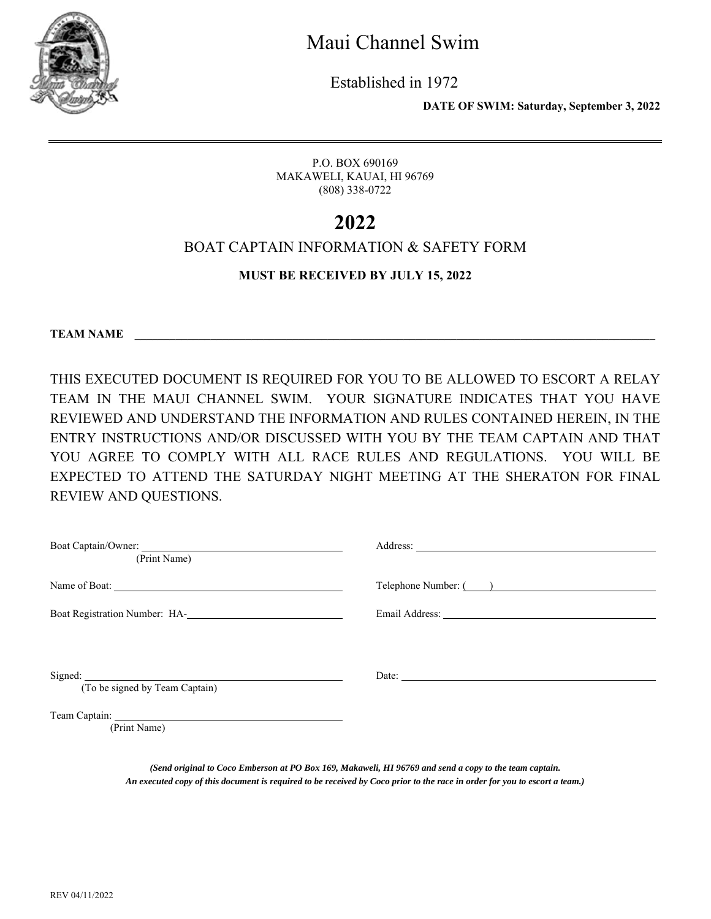

Established in 1972

 **DATE OF SWIM: Saturday, September 3, 2022**

P.O. BOX 690169 MAKAWELI, KAUAI, HI 96769 (808) 338-0722

## **2022**

### BOAT CAPTAIN INFORMATION & SAFETY FORM

### **MUST BE RECEIVED BY JULY 15, 2022**

**TEAM NAME** 

THIS EXECUTED DOCUMENT IS REQUIRED FOR YOU TO BE ALLOWED TO ESCORT A RELAY TEAM IN THE MAUI CHANNEL SWIM. YOUR SIGNATURE INDICATES THAT YOU HAVE REVIEWED AND UNDERSTAND THE INFORMATION AND RULES CONTAINED HEREIN, IN THE ENTRY INSTRUCTIONS AND/OR DISCUSSED WITH YOU BY THE TEAM CAPTAIN AND THAT YOU AGREE TO COMPLY WITH ALL RACE RULES AND REGULATIONS. YOU WILL BE EXPECTED TO ATTEND THE SATURDAY NIGHT MEETING AT THE SHERATON FOR FINAL REVIEW AND QUESTIONS.

| (Print Name)                                                  |                       |
|---------------------------------------------------------------|-----------------------|
|                                                               | Telephone Number: ( ) |
| Boat Registration Number: HA-<br><u>International Section</u> |                       |
|                                                               |                       |
| Signed:<br>(To be signed by Team Captain)                     | Date:                 |
| (Print Name)                                                  |                       |

*(Send original to Coco Emberson at PO Box 169, Makaweli, HI 96769 and send a copy to the team captain. An executed copy of this document is required to be received by Coco prior to the race in order for you to escort a team.)*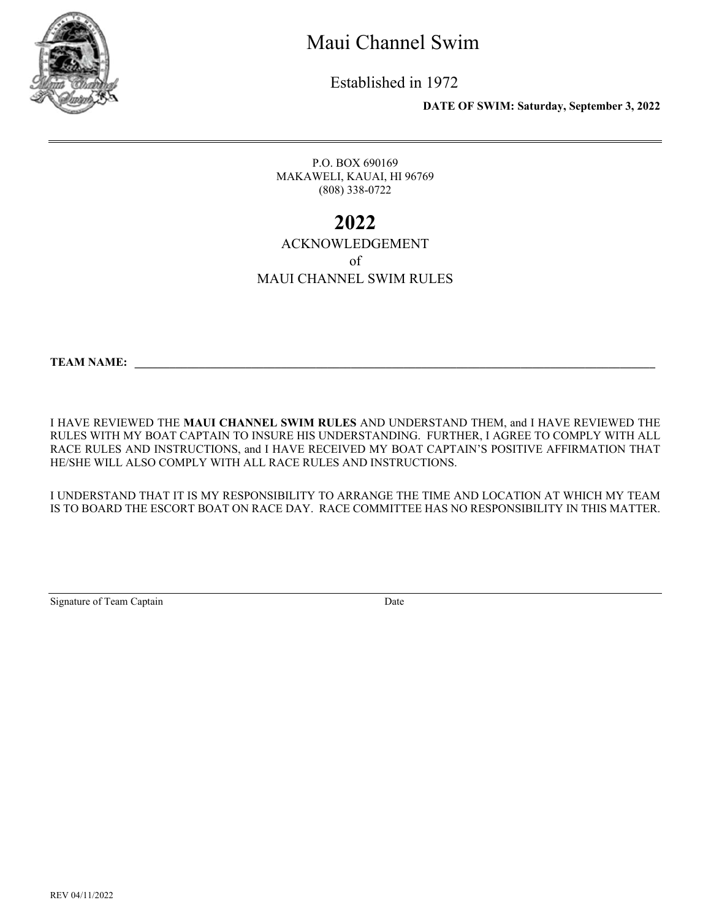

Established in 1972

 **DATE OF SWIM: Saturday, September 3, 2022**

P.O. BOX 690169 MAKAWELI, KAUAI, HI 96769 (808) 338-0722

## **2022**

#### ACKNOWLEDGEMENT of MAUI CHANNEL SWIM RULES

**TEAM NAME:** 

I HAVE REVIEWED THE **MAUI CHANNEL SWIM RULES** AND UNDERSTAND THEM, and I HAVE REVIEWED THE RULES WITH MY BOAT CAPTAIN TO INSURE HIS UNDERSTANDING. FURTHER, I AGREE TO COMPLY WITH ALL RACE RULES AND INSTRUCTIONS, and I HAVE RECEIVED MY BOAT CAPTAIN'S POSITIVE AFFIRMATION THAT HE/SHE WILL ALSO COMPLY WITH ALL RACE RULES AND INSTRUCTIONS.

I UNDERSTAND THAT IT IS MY RESPONSIBILITY TO ARRANGE THE TIME AND LOCATION AT WHICH MY TEAM IS TO BOARD THE ESCORT BOAT ON RACE DAY. RACE COMMITTEE HAS NO RESPONSIBILITY IN THIS MATTER.

Signature of Team Captain Date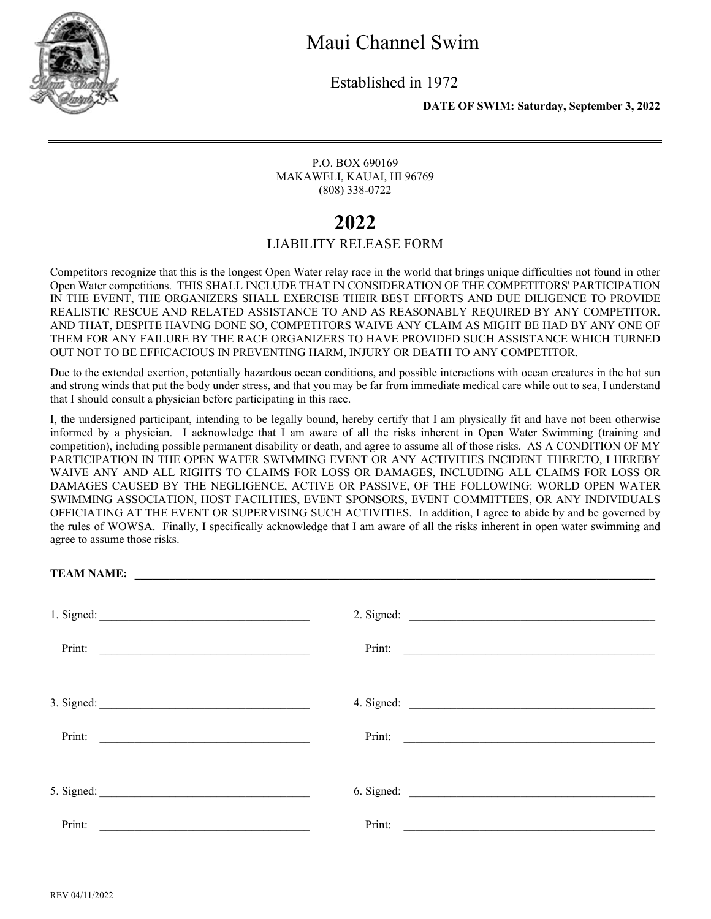

Established in 1972

 **DATE OF SWIM: Saturday, September 3, 2022**

P.O. BOX 690169 MAKAWELI, KAUAI, HI 96769 (808) 338-0722

### **2022**

### LIABILITY RELEASE FORM

Competitors recognize that this is the longest Open Water relay race in the world that brings unique difficulties not found in other Open Water competitions. THIS SHALL INCLUDE THAT IN CONSIDERATION OF THE COMPETITORS' PARTICIPATION IN THE EVENT, THE ORGANIZERS SHALL EXERCISE THEIR BEST EFFORTS AND DUE DILIGENCE TO PROVIDE REALISTIC RESCUE AND RELATED ASSISTANCE TO AND AS REASONABLY REQUIRED BY ANY COMPETITOR. AND THAT, DESPITE HAVING DONE SO, COMPETITORS WAIVE ANY CLAIM AS MIGHT BE HAD BY ANY ONE OF THEM FOR ANY FAILURE BY THE RACE ORGANIZERS TO HAVE PROVIDED SUCH ASSISTANCE WHICH TURNED OUT NOT TO BE EFFICACIOUS IN PREVENTING HARM, INJURY OR DEATH TO ANY COMPETITOR.

Due to the extended exertion, potentially hazardous ocean conditions, and possible interactions with ocean creatures in the hot sun and strong winds that put the body under stress, and that you may be far from immediate medical care while out to sea, I understand that I should consult a physician before participating in this race.

I, the undersigned participant, intending to be legally bound, hereby certify that I am physically fit and have not been otherwise informed by a physician. I acknowledge that I am aware of all the risks inherent in Open Water Swimming (training and competition), including possible permanent disability or death, and agree to assume all of those risks. AS A CONDITION OF MY PARTICIPATION IN THE OPEN WATER SWIMMING EVENT OR ANY ACTIVITIES INCIDENT THERETO, I HEREBY WAIVE ANY AND ALL RIGHTS TO CLAIMS FOR LOSS OR DAMAGES, INCLUDING ALL CLAIMS FOR LOSS OR DAMAGES CAUSED BY THE NEGLIGENCE, ACTIVE OR PASSIVE, OF THE FOLLOWING: WORLD OPEN WATER SWIMMING ASSOCIATION, HOST FACILITIES, EVENT SPONSORS, EVENT COMMITTEES, OR ANY INDIVIDUALS OFFICIATING AT THE EVENT OR SUPERVISING SUCH ACTIVITIES. In addition, I agree to abide by and be governed by the rules of WOWSA. Finally, I specifically acknowledge that I am aware of all the risks inherent in open water swimming and agree to assume those risks.

| Print:                                                                                                                         | Print:                                                                                                                          |  |
|--------------------------------------------------------------------------------------------------------------------------------|---------------------------------------------------------------------------------------------------------------------------------|--|
| 3. Signed: $\qquad \qquad$                                                                                                     |                                                                                                                                 |  |
| Print:                                                                                                                         | Print:                                                                                                                          |  |
|                                                                                                                                |                                                                                                                                 |  |
| Print:<br><u> 2000 - Jan James James James James James James James James James James James James James James James James J</u> | Print:<br><u> 1989 - Johann Harry Harry Harry Harry Harry Harry Harry Harry Harry Harry Harry Harry Harry Harry Harry Harry</u> |  |